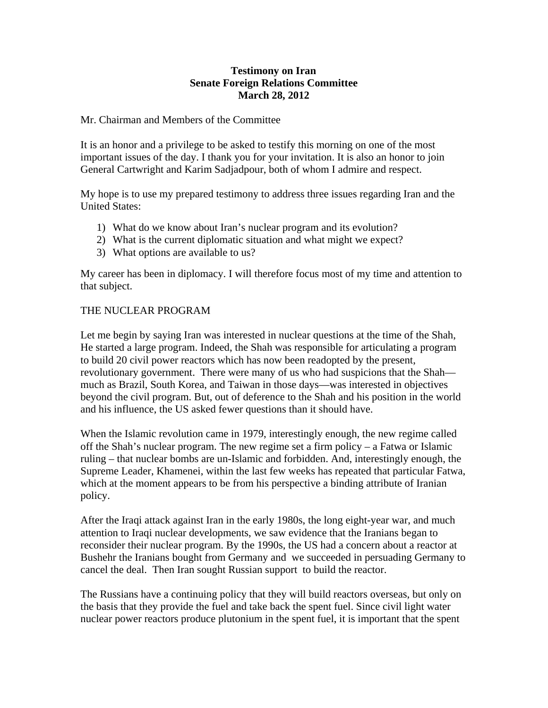# **Testimony on Iran Senate Foreign Relations Committee March 28, 2012**

### Mr. Chairman and Members of the Committee

It is an honor and a privilege to be asked to testify this morning on one of the most important issues of the day. I thank you for your invitation. It is also an honor to join General Cartwright and Karim Sadjadpour, both of whom I admire and respect.

My hope is to use my prepared testimony to address three issues regarding Iran and the United States:

- 1) What do we know about Iran's nuclear program and its evolution?
- 2) What is the current diplomatic situation and what might we expect?
- 3) What options are available to us?

My career has been in diplomacy. I will therefore focus most of my time and attention to that subject.

# THE NUCLEAR PROGRAM

Let me begin by saying Iran was interested in nuclear questions at the time of the Shah, He started a large program. Indeed, the Shah was responsible for articulating a program to build 20 civil power reactors which has now been readopted by the present, revolutionary government. There were many of us who had suspicions that the Shah much as Brazil, South Korea, and Taiwan in those days—was interested in objectives beyond the civil program. But, out of deference to the Shah and his position in the world and his influence, the US asked fewer questions than it should have.

When the Islamic revolution came in 1979, interestingly enough, the new regime called off the Shah's nuclear program. The new regime set a firm policy – a Fatwa or Islamic ruling – that nuclear bombs are un-Islamic and forbidden. And, interestingly enough, the Supreme Leader, Khamenei, within the last few weeks has repeated that particular Fatwa, which at the moment appears to be from his perspective a binding attribute of Iranian policy.

After the Iraqi attack against Iran in the early 1980s, the long eight-year war, and much attention to Iraqi nuclear developments, we saw evidence that the Iranians began to reconsider their nuclear program. By the 1990s, the US had a concern about a reactor at Bushehr the Iranians bought from Germany and we succeeded in persuading Germany to cancel the deal. Then Iran sought Russian support to build the reactor.

The Russians have a continuing policy that they will build reactors overseas, but only on the basis that they provide the fuel and take back the spent fuel. Since civil light water nuclear power reactors produce plutonium in the spent fuel, it is important that the spent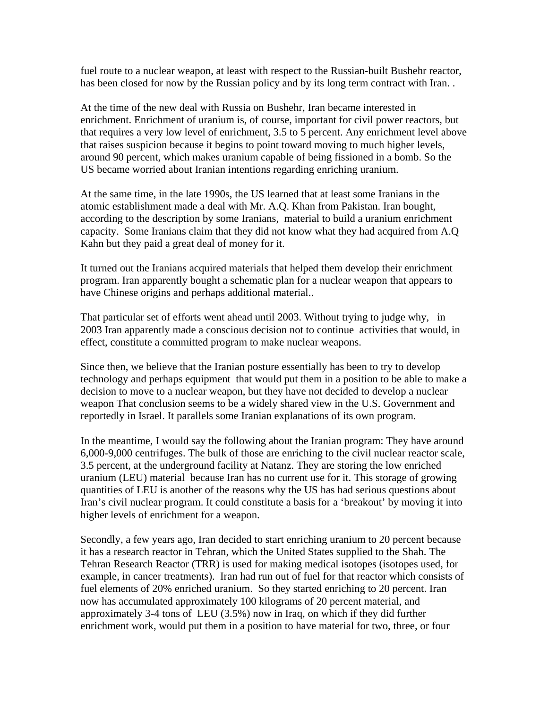fuel route to a nuclear weapon, at least with respect to the Russian-built Bushehr reactor, has been closed for now by the Russian policy and by its long term contract with Iran..

At the time of the new deal with Russia on Bushehr, Iran became interested in enrichment. Enrichment of uranium is, of course, important for civil power reactors, but that requires a very low level of enrichment, 3.5 to 5 percent. Any enrichment level above that raises suspicion because it begins to point toward moving to much higher levels, around 90 percent, which makes uranium capable of being fissioned in a bomb. So the US became worried about Iranian intentions regarding enriching uranium.

At the same time, in the late 1990s, the US learned that at least some Iranians in the atomic establishment made a deal with Mr. A.Q. Khan from Pakistan. Iran bought, according to the description by some Iranians, material to build a uranium enrichment capacity. Some Iranians claim that they did not know what they had acquired from A.Q Kahn but they paid a great deal of money for it.

It turned out the Iranians acquired materials that helped them develop their enrichment program. Iran apparently bought a schematic plan for a nuclear weapon that appears to have Chinese origins and perhaps additional material..

That particular set of efforts went ahead until 2003. Without trying to judge why, in 2003 Iran apparently made a conscious decision not to continue activities that would, in effect, constitute a committed program to make nuclear weapons.

Since then, we believe that the Iranian posture essentially has been to try to develop technology and perhaps equipment that would put them in a position to be able to make a decision to move to a nuclear weapon, but they have not decided to develop a nuclear weapon That conclusion seems to be a widely shared view in the U.S. Government and reportedly in Israel. It parallels some Iranian explanations of its own program.

In the meantime, I would say the following about the Iranian program: They have around 6,000-9,000 centrifuges. The bulk of those are enriching to the civil nuclear reactor scale, 3.5 percent, at the underground facility at Natanz. They are storing the low enriched uranium (LEU) material because Iran has no current use for it. This storage of growing quantities of LEU is another of the reasons why the US has had serious questions about Iran's civil nuclear program. It could constitute a basis for a 'breakout' by moving it into higher levels of enrichment for a weapon.

Secondly, a few years ago, Iran decided to start enriching uranium to 20 percent because it has a research reactor in Tehran, which the United States supplied to the Shah. The Tehran Research Reactor (TRR) is used for making medical isotopes (isotopes used, for example, in cancer treatments). Iran had run out of fuel for that reactor which consists of fuel elements of 20% enriched uranium. So they started enriching to 20 percent. Iran now has accumulated approximately 100 kilograms of 20 percent material, and approximately 3-4 tons of LEU (3.5%) now in Iraq, on which if they did further enrichment work, would put them in a position to have material for two, three, or four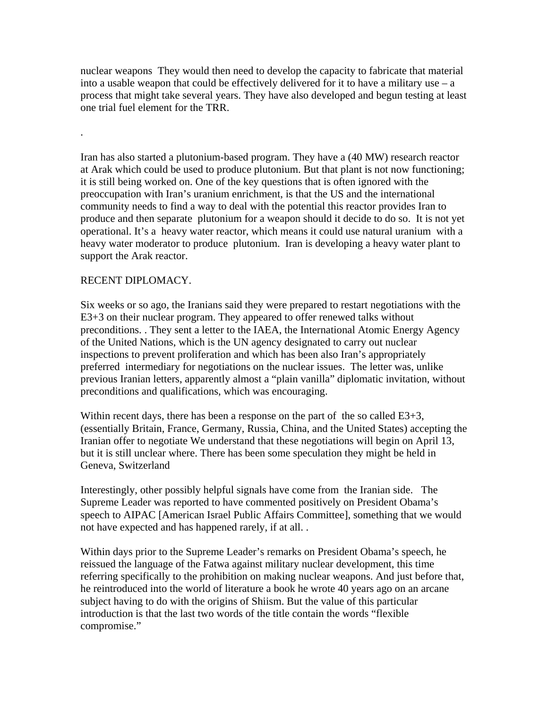nuclear weapons They would then need to develop the capacity to fabricate that material into a usable weapon that could be effectively delivered for it to have a military use  $-$  a process that might take several years. They have also developed and begun testing at least one trial fuel element for the TRR.

Iran has also started a plutonium-based program. They have a (40 MW) research reactor at Arak which could be used to produce plutonium. But that plant is not now functioning; it is still being worked on. One of the key questions that is often ignored with the preoccupation with Iran's uranium enrichment, is that the US and the international community needs to find a way to deal with the potential this reactor provides Iran to produce and then separate plutonium for a weapon should it decide to do so. It is not yet operational. It's a heavy water reactor, which means it could use natural uranium with a heavy water moderator to produce plutonium. Iran is developing a heavy water plant to support the Arak reactor.

#### RECENT DIPLOMACY.

.

Six weeks or so ago, the Iranians said they were prepared to restart negotiations with the E3+3 on their nuclear program. They appeared to offer renewed talks without preconditions. . They sent a letter to the IAEA, the International Atomic Energy Agency of the United Nations, which is the UN agency designated to carry out nuclear inspections to prevent proliferation and which has been also Iran's appropriately preferred intermediary for negotiations on the nuclear issues. The letter was, unlike previous Iranian letters, apparently almost a "plain vanilla" diplomatic invitation, without preconditions and qualifications, which was encouraging.

Within recent days, there has been a response on the part of the so called E3+3, (essentially Britain, France, Germany, Russia, China, and the United States) accepting the Iranian offer to negotiate We understand that these negotiations will begin on April 13, but it is still unclear where. There has been some speculation they might be held in Geneva, Switzerland

Interestingly, other possibly helpful signals have come from the Iranian side. The Supreme Leader was reported to have commented positively on President Obama's speech to AIPAC [American Israel Public Affairs Committee], something that we would not have expected and has happened rarely, if at all. .

Within days prior to the Supreme Leader's remarks on President Obama's speech, he reissued the language of the Fatwa against military nuclear development, this time referring specifically to the prohibition on making nuclear weapons. And just before that, he reintroduced into the world of literature a book he wrote 40 years ago on an arcane subject having to do with the origins of Shiism. But the value of this particular introduction is that the last two words of the title contain the words "flexible compromise."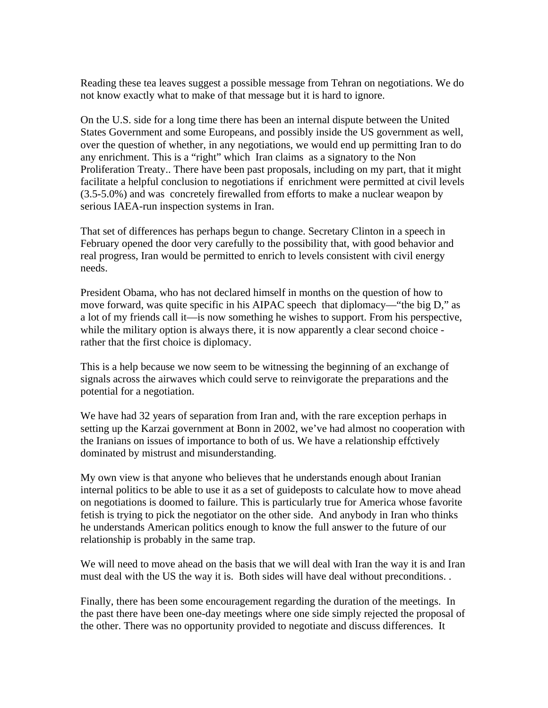Reading these tea leaves suggest a possible message from Tehran on negotiations. We do not know exactly what to make of that message but it is hard to ignore.

On the U.S. side for a long time there has been an internal dispute between the United States Government and some Europeans, and possibly inside the US government as well, over the question of whether, in any negotiations, we would end up permitting Iran to do any enrichment. This is a "right" which Iran claims as a signatory to the Non Proliferation Treaty.. There have been past proposals, including on my part, that it might facilitate a helpful conclusion to negotiations if enrichment were permitted at civil levels (3.5-5.0%) and was concretely firewalled from efforts to make a nuclear weapon by serious IAEA-run inspection systems in Iran.

That set of differences has perhaps begun to change. Secretary Clinton in a speech in February opened the door very carefully to the possibility that, with good behavior and real progress, Iran would be permitted to enrich to levels consistent with civil energy needs.

President Obama, who has not declared himself in months on the question of how to move forward, was quite specific in his AIPAC speech that diplomacy—"the big D," as a lot of my friends call it—is now something he wishes to support. From his perspective, while the military option is always there, it is now apparently a clear second choice rather that the first choice is diplomacy.

This is a help because we now seem to be witnessing the beginning of an exchange of signals across the airwaves which could serve to reinvigorate the preparations and the potential for a negotiation.

We have had 32 years of separation from Iran and, with the rare exception perhaps in setting up the Karzai government at Bonn in 2002, we've had almost no cooperation with the Iranians on issues of importance to both of us. We have a relationship effctively dominated by mistrust and misunderstanding.

My own view is that anyone who believes that he understands enough about Iranian internal politics to be able to use it as a set of guideposts to calculate how to move ahead on negotiations is doomed to failure. This is particularly true for America whose favorite fetish is trying to pick the negotiator on the other side. And anybody in Iran who thinks he understands American politics enough to know the full answer to the future of our relationship is probably in the same trap.

We will need to move ahead on the basis that we will deal with Iran the way it is and Iran must deal with the US the way it is. Both sides will have deal without preconditions. .

Finally, there has been some encouragement regarding the duration of the meetings. In the past there have been one-day meetings where one side simply rejected the proposal of the other. There was no opportunity provided to negotiate and discuss differences. It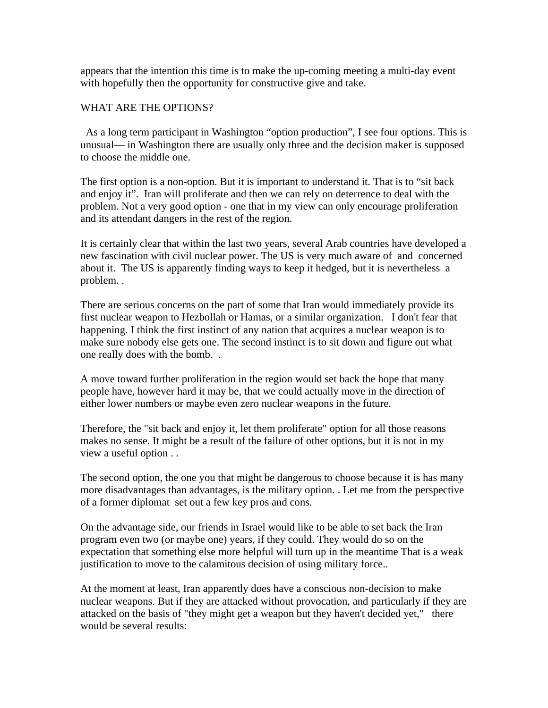appears that the intention this time is to make the up-coming meeting a multi-day event with hopefully then the opportunity for constructive give and take.

# WHAT ARE THE OPTIONS?

 As a long term participant in Washington "option production", I see four options. This is unusual— in Washington there are usually only three and the decision maker is supposed to choose the middle one.

The first option is a non-option. But it is important to understand it. That is to "sit back and enjoy it". Iran will proliferate and then we can rely on deterrence to deal with the problem. Not a very good option - one that in my view can only encourage proliferation and its attendant dangers in the rest of the region.

It is certainly clear that within the last two years, several Arab countries have developed a new fascination with civil nuclear power. The US is very much aware of and concerned about it. The US is apparently finding ways to keep it hedged, but it is nevertheless a problem. .

There are serious concerns on the part of some that Iran would immediately provide its first nuclear weapon to Hezbollah or Hamas, or a similar organization. I don't fear that happening. I think the first instinct of any nation that acquires a nuclear weapon is to make sure nobody else gets one. The second instinct is to sit down and figure out what one really does with the bomb. .

A move toward further proliferation in the region would set back the hope that many people have, however hard it may be, that we could actually move in the direction of either lower numbers or maybe even zero nuclear weapons in the future.

Therefore, the "sit back and enjoy it, let them proliferate" option for all those reasons makes no sense. It might be a result of the failure of other options, but it is not in my view a useful option . .

The second option, the one you that might be dangerous to choose because it is has many more disadvantages than advantages, is the military option. . Let me from the perspective of a former diplomat set out a few key pros and cons.

On the advantage side, our friends in Israel would like to be able to set back the Iran program even two (or maybe one) years, if they could. They would do so on the expectation that something else more helpful will turn up in the meantime That is a weak justification to move to the calamitous decision of using military force..

At the moment at least, Iran apparently does have a conscious non-decision to make nuclear weapons. But if they are attacked without provocation, and particularly if they are attacked on the basis of "they might get a weapon but they haven't decided yet," there would be several results: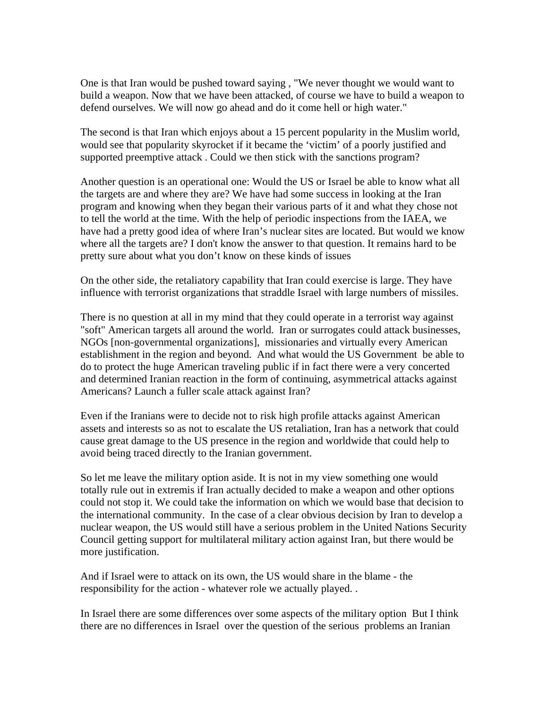One is that Iran would be pushed toward saying , "We never thought we would want to build a weapon. Now that we have been attacked, of course we have to build a weapon to defend ourselves. We will now go ahead and do it come hell or high water."

The second is that Iran which enjoys about a 15 percent popularity in the Muslim world, would see that popularity skyrocket if it became the 'victim' of a poorly justified and supported preemptive attack . Could we then stick with the sanctions program?

Another question is an operational one: Would the US or Israel be able to know what all the targets are and where they are? We have had some success in looking at the Iran program and knowing when they began their various parts of it and what they chose not to tell the world at the time. With the help of periodic inspections from the IAEA, we have had a pretty good idea of where Iran's nuclear sites are located. But would we know where all the targets are? I don't know the answer to that question. It remains hard to be pretty sure about what you don't know on these kinds of issues

On the other side, the retaliatory capability that Iran could exercise is large. They have influence with terrorist organizations that straddle Israel with large numbers of missiles.

There is no question at all in my mind that they could operate in a terrorist way against "soft" American targets all around the world. Iran or surrogates could attack businesses, NGOs [non-governmental organizations], missionaries and virtually every American establishment in the region and beyond. And what would the US Government be able to do to protect the huge American traveling public if in fact there were a very concerted and determined Iranian reaction in the form of continuing, asymmetrical attacks against Americans? Launch a fuller scale attack against Iran?

Even if the Iranians were to decide not to risk high profile attacks against American assets and interests so as not to escalate the US retaliation, Iran has a network that could cause great damage to the US presence in the region and worldwide that could help to avoid being traced directly to the Iranian government.

So let me leave the military option aside. It is not in my view something one would totally rule out in extremis if Iran actually decided to make a weapon and other options could not stop it. We could take the information on which we would base that decision to the international community. In the case of a clear obvious decision by Iran to develop a nuclear weapon, the US would still have a serious problem in the United Nations Security Council getting support for multilateral military action against Iran, but there would be more justification.

And if Israel were to attack on its own, the US would share in the blame - the responsibility for the action - whatever role we actually played. .

In Israel there are some differences over some aspects of the military option But I think there are no differences in Israel over the question of the serious problems an Iranian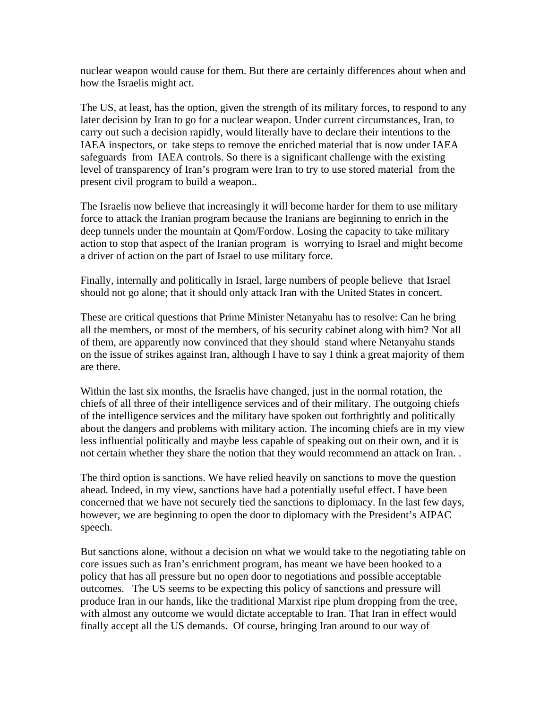nuclear weapon would cause for them. But there are certainly differences about when and how the Israelis might act.

The US, at least, has the option, given the strength of its military forces, to respond to any later decision by Iran to go for a nuclear weapon. Under current circumstances, Iran, to carry out such a decision rapidly, would literally have to declare their intentions to the IAEA inspectors, or take steps to remove the enriched material that is now under IAEA safeguards from IAEA controls. So there is a significant challenge with the existing level of transparency of Iran's program were Iran to try to use stored material from the present civil program to build a weapon..

The Israelis now believe that increasingly it will become harder for them to use military force to attack the Iranian program because the Iranians are beginning to enrich in the deep tunnels under the mountain at Qom/Fordow. Losing the capacity to take military action to stop that aspect of the Iranian program is worrying to Israel and might become a driver of action on the part of Israel to use military force.

Finally, internally and politically in Israel, large numbers of people believe that Israel should not go alone; that it should only attack Iran with the United States in concert.

These are critical questions that Prime Minister Netanyahu has to resolve: Can he bring all the members, or most of the members, of his security cabinet along with him? Not all of them, are apparently now convinced that they should stand where Netanyahu stands on the issue of strikes against Iran, although I have to say I think a great majority of them are there.

Within the last six months, the Israelis have changed, just in the normal rotation, the chiefs of all three of their intelligence services and of their military. The outgoing chiefs of the intelligence services and the military have spoken out forthrightly and politically about the dangers and problems with military action. The incoming chiefs are in my view less influential politically and maybe less capable of speaking out on their own, and it is not certain whether they share the notion that they would recommend an attack on Iran. .

The third option is sanctions. We have relied heavily on sanctions to move the question ahead. Indeed, in my view, sanctions have had a potentially useful effect. I have been concerned that we have not securely tied the sanctions to diplomacy. In the last few days, however, we are beginning to open the door to diplomacy with the President's AIPAC speech.

But sanctions alone, without a decision on what we would take to the negotiating table on core issues such as Iran's enrichment program, has meant we have been hooked to a policy that has all pressure but no open door to negotiations and possible acceptable outcomes. The US seems to be expecting this policy of sanctions and pressure will produce Iran in our hands, like the traditional Marxist ripe plum dropping from the tree, with almost any outcome we would dictate acceptable to Iran. That Iran in effect would finally accept all the US demands. Of course, bringing Iran around to our way of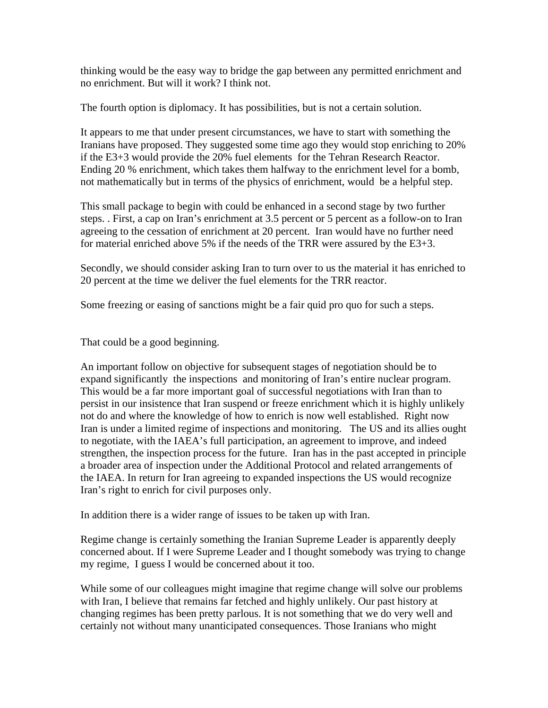thinking would be the easy way to bridge the gap between any permitted enrichment and no enrichment. But will it work? I think not.

The fourth option is diplomacy. It has possibilities, but is not a certain solution.

It appears to me that under present circumstances, we have to start with something the Iranians have proposed. They suggested some time ago they would stop enriching to 20% if the E3+3 would provide the 20% fuel elements for the Tehran Research Reactor. Ending 20 % enrichment, which takes them halfway to the enrichment level for a bomb, not mathematically but in terms of the physics of enrichment, would be a helpful step.

This small package to begin with could be enhanced in a second stage by two further steps. . First, a cap on Iran's enrichment at 3.5 percent or 5 percent as a follow-on to Iran agreeing to the cessation of enrichment at 20 percent. Iran would have no further need for material enriched above 5% if the needs of the TRR were assured by the E3+3.

Secondly, we should consider asking Iran to turn over to us the material it has enriched to 20 percent at the time we deliver the fuel elements for the TRR reactor.

Some freezing or easing of sanctions might be a fair quid pro quo for such a steps.

That could be a good beginning.

An important follow on objective for subsequent stages of negotiation should be to expand significantly the inspections and monitoring of Iran's entire nuclear program. This would be a far more important goal of successful negotiations with Iran than to persist in our insistence that Iran suspend or freeze enrichment which it is highly unlikely not do and where the knowledge of how to enrich is now well established. Right now Iran is under a limited regime of inspections and monitoring. The US and its allies ought to negotiate, with the IAEA's full participation, an agreement to improve, and indeed strengthen, the inspection process for the future. Iran has in the past accepted in principle a broader area of inspection under the Additional Protocol and related arrangements of the IAEA. In return for Iran agreeing to expanded inspections the US would recognize Iran's right to enrich for civil purposes only.

In addition there is a wider range of issues to be taken up with Iran.

Regime change is certainly something the Iranian Supreme Leader is apparently deeply concerned about. If I were Supreme Leader and I thought somebody was trying to change my regime, I guess I would be concerned about it too.

While some of our colleagues might imagine that regime change will solve our problems with Iran, I believe that remains far fetched and highly unlikely. Our past history at changing regimes has been pretty parlous. It is not something that we do very well and certainly not without many unanticipated consequences. Those Iranians who might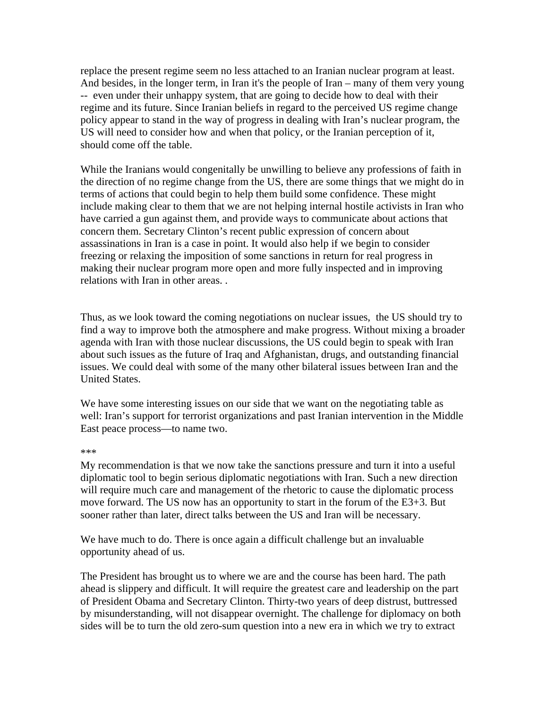replace the present regime seem no less attached to an Iranian nuclear program at least. And besides, in the longer term, in Iran it's the people of Iran – many of them very young -- even under their unhappy system, that are going to decide how to deal with their regime and its future. Since Iranian beliefs in regard to the perceived US regime change policy appear to stand in the way of progress in dealing with Iran's nuclear program, the US will need to consider how and when that policy, or the Iranian perception of it, should come off the table.

While the Iranians would congenitally be unwilling to believe any professions of faith in the direction of no regime change from the US, there are some things that we might do in terms of actions that could begin to help them build some confidence. These might include making clear to them that we are not helping internal hostile activists in Iran who have carried a gun against them, and provide ways to communicate about actions that concern them. Secretary Clinton's recent public expression of concern about assassinations in Iran is a case in point. It would also help if we begin to consider freezing or relaxing the imposition of some sanctions in return for real progress in making their nuclear program more open and more fully inspected and in improving relations with Iran in other areas. .

Thus, as we look toward the coming negotiations on nuclear issues, the US should try to find a way to improve both the atmosphere and make progress. Without mixing a broader agenda with Iran with those nuclear discussions, the US could begin to speak with Iran about such issues as the future of Iraq and Afghanistan, drugs, and outstanding financial issues. We could deal with some of the many other bilateral issues between Iran and the United States.

We have some interesting issues on our side that we want on the negotiating table as well: Iran's support for terrorist organizations and past Iranian intervention in the Middle East peace process—to name two.

#### \*\*\*

My recommendation is that we now take the sanctions pressure and turn it into a useful diplomatic tool to begin serious diplomatic negotiations with Iran. Such a new direction will require much care and management of the rhetoric to cause the diplomatic process move forward. The US now has an opportunity to start in the forum of the E3+3. But sooner rather than later, direct talks between the US and Iran will be necessary.

We have much to do. There is once again a difficult challenge but an invaluable opportunity ahead of us.

The President has brought us to where we are and the course has been hard. The path ahead is slippery and difficult. It will require the greatest care and leadership on the part of President Obama and Secretary Clinton. Thirty-two years of deep distrust, buttressed by misunderstanding, will not disappear overnight. The challenge for diplomacy on both sides will be to turn the old zero-sum question into a new era in which we try to extract